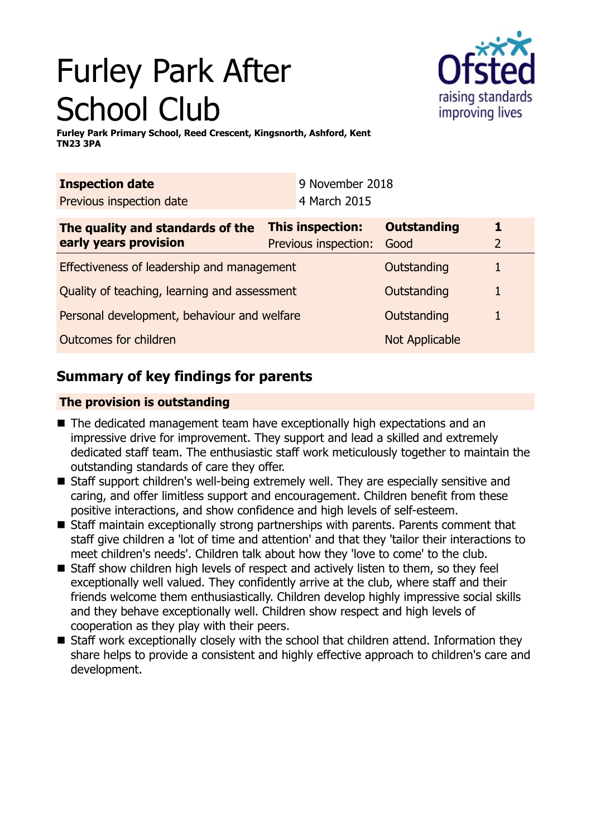# Furley Park After School Club



**Furley Park Primary School, Reed Crescent, Kingsnorth, Ashford, Kent TN23 3PA**

| <b>Inspection date</b>                       |  | 9 November 2018         |                    |                |
|----------------------------------------------|--|-------------------------|--------------------|----------------|
| Previous inspection date                     |  | 4 March 2015            |                    |                |
| The quality and standards of the             |  | <b>This inspection:</b> | <b>Outstanding</b> |                |
| early years provision                        |  | Previous inspection:    | Good               | $\overline{2}$ |
| Effectiveness of leadership and management   |  |                         | Outstanding        |                |
| Quality of teaching, learning and assessment |  |                         | Outstanding        |                |
| Personal development, behaviour and welfare  |  |                         | Outstanding        |                |
| Outcomes for children                        |  | <b>Not Applicable</b>   |                    |                |

# **Summary of key findings for parents**

## **The provision is outstanding**

- The dedicated management team have exceptionally high expectations and an impressive drive for improvement. They support and lead a skilled and extremely dedicated staff team. The enthusiastic staff work meticulously together to maintain the outstanding standards of care they offer.
- Staff support children's well-being extremely well. They are especially sensitive and caring, and offer limitless support and encouragement. Children benefit from these positive interactions, and show confidence and high levels of self-esteem.
- $\blacksquare$  Staff maintain exceptionally strong partnerships with parents. Parents comment that staff give children a 'lot of time and attention' and that they 'tailor their interactions to meet children's needs'. Children talk about how they 'love to come' to the club.
- $\blacksquare$  Staff show children high levels of respect and actively listen to them, so they feel exceptionally well valued. They confidently arrive at the club, where staff and their friends welcome them enthusiastically. Children develop highly impressive social skills and they behave exceptionally well. Children show respect and high levels of cooperation as they play with their peers.
- $\blacksquare$  Staff work exceptionally closely with the school that children attend. Information they share helps to provide a consistent and highly effective approach to children's care and development.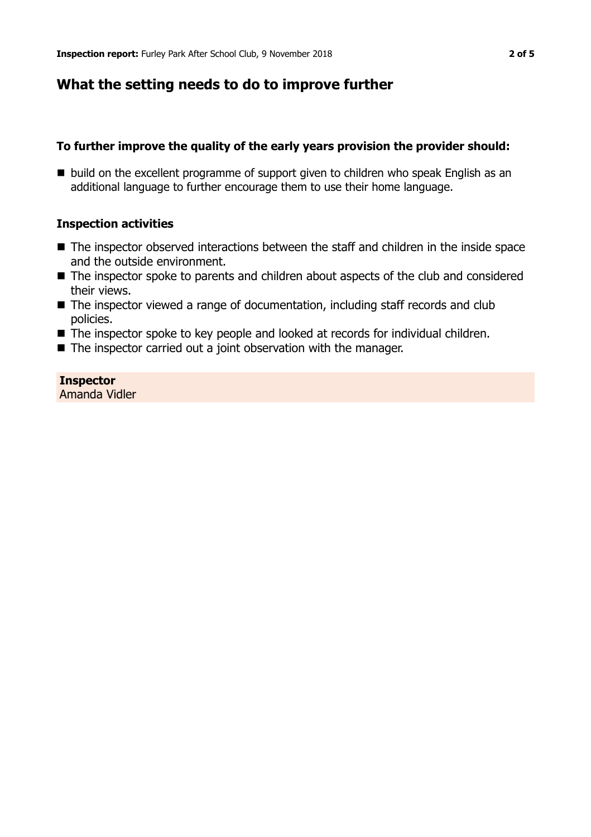## **What the setting needs to do to improve further**

## **To further improve the quality of the early years provision the provider should:**

■ build on the excellent programme of support given to children who speak English as an additional language to further encourage them to use their home language.

## **Inspection activities**

- The inspector observed interactions between the staff and children in the inside space and the outside environment.
- The inspector spoke to parents and children about aspects of the club and considered their views.
- $\blacksquare$  The inspector viewed a range of documentation, including staff records and club policies.
- The inspector spoke to key people and looked at records for individual children.
- $\blacksquare$  The inspector carried out a joint observation with the manager.

# **Inspector**

Amanda Vidler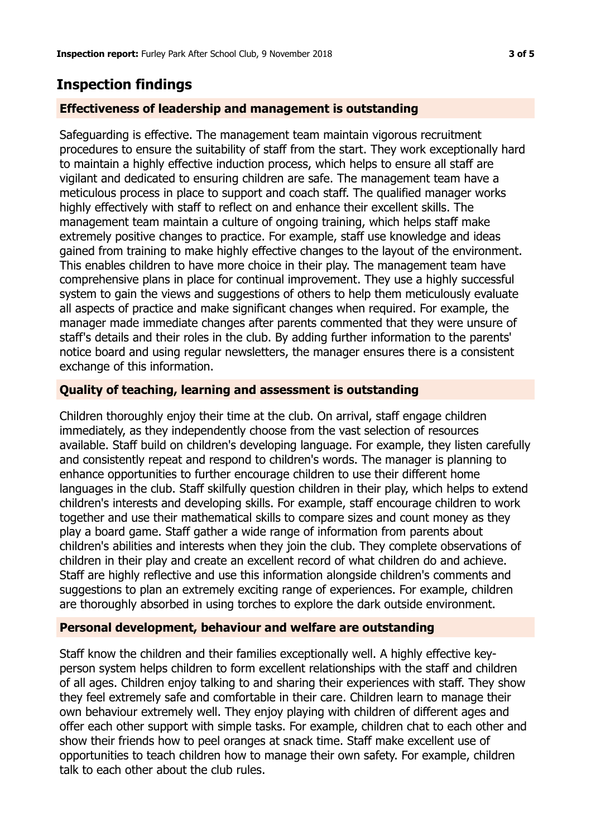## **Inspection findings**

#### **Effectiveness of leadership and management is outstanding**

Safeguarding is effective. The management team maintain vigorous recruitment procedures to ensure the suitability of staff from the start. They work exceptionally hard to maintain a highly effective induction process, which helps to ensure all staff are vigilant and dedicated to ensuring children are safe. The management team have a meticulous process in place to support and coach staff. The qualified manager works highly effectively with staff to reflect on and enhance their excellent skills. The management team maintain a culture of ongoing training, which helps staff make extremely positive changes to practice. For example, staff use knowledge and ideas gained from training to make highly effective changes to the layout of the environment. This enables children to have more choice in their play. The management team have comprehensive plans in place for continual improvement. They use a highly successful system to gain the views and suggestions of others to help them meticulously evaluate all aspects of practice and make significant changes when required. For example, the manager made immediate changes after parents commented that they were unsure of staff's details and their roles in the club. By adding further information to the parents' notice board and using regular newsletters, the manager ensures there is a consistent exchange of this information.

#### **Quality of teaching, learning and assessment is outstanding**

Children thoroughly enjoy their time at the club. On arrival, staff engage children immediately, as they independently choose from the vast selection of resources available. Staff build on children's developing language. For example, they listen carefully and consistently repeat and respond to children's words. The manager is planning to enhance opportunities to further encourage children to use their different home languages in the club. Staff skilfully question children in their play, which helps to extend children's interests and developing skills. For example, staff encourage children to work together and use their mathematical skills to compare sizes and count money as they play a board game. Staff gather a wide range of information from parents about children's abilities and interests when they join the club. They complete observations of children in their play and create an excellent record of what children do and achieve. Staff are highly reflective and use this information alongside children's comments and suggestions to plan an extremely exciting range of experiences. For example, children are thoroughly absorbed in using torches to explore the dark outside environment.

## **Personal development, behaviour and welfare are outstanding**

Staff know the children and their families exceptionally well. A highly effective keyperson system helps children to form excellent relationships with the staff and children of all ages. Children enjoy talking to and sharing their experiences with staff. They show they feel extremely safe and comfortable in their care. Children learn to manage their own behaviour extremely well. They enjoy playing with children of different ages and offer each other support with simple tasks. For example, children chat to each other and show their friends how to peel oranges at snack time. Staff make excellent use of opportunities to teach children how to manage their own safety. For example, children talk to each other about the club rules.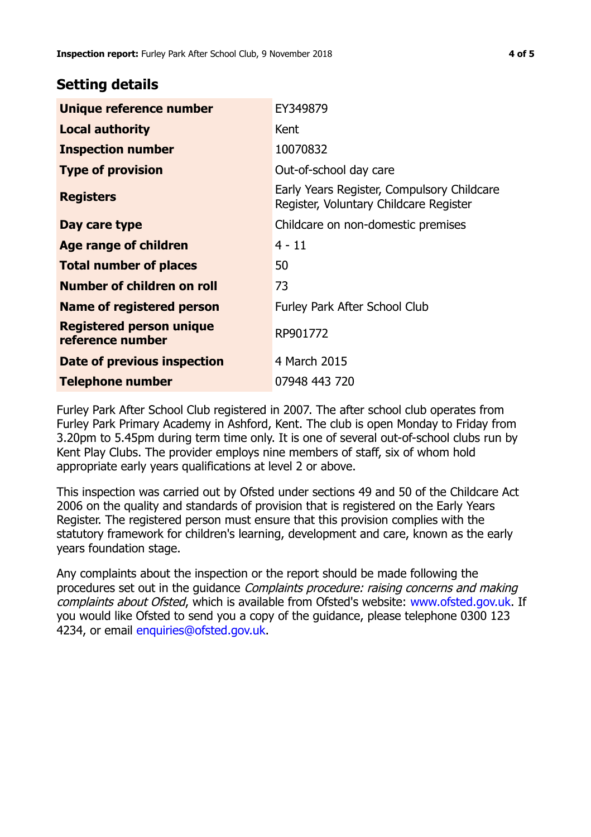## **Setting details**

| Unique reference number                             | EY349879                                                                             |
|-----------------------------------------------------|--------------------------------------------------------------------------------------|
| <b>Local authority</b>                              | Kent                                                                                 |
| <b>Inspection number</b>                            | 10070832                                                                             |
| <b>Type of provision</b>                            | Out-of-school day care                                                               |
| <b>Registers</b>                                    | Early Years Register, Compulsory Childcare<br>Register, Voluntary Childcare Register |
| Day care type                                       | Childcare on non-domestic premises                                                   |
| Age range of children                               | 4 - 11                                                                               |
| <b>Total number of places</b>                       | 50                                                                                   |
| Number of children on roll                          | 73                                                                                   |
| Name of registered person                           | Furley Park After School Club                                                        |
| <b>Registered person unique</b><br>reference number | RP901772                                                                             |
| Date of previous inspection                         | 4 March 2015                                                                         |
| Telephone number                                    | 07948 443 720                                                                        |

Furley Park After School Club registered in 2007. The after school club operates from Furley Park Primary Academy in Ashford, Kent. The club is open Monday to Friday from 3.20pm to 5.45pm during term time only. It is one of several out-of-school clubs run by Kent Play Clubs. The provider employs nine members of staff, six of whom hold appropriate early years qualifications at level 2 or above.

This inspection was carried out by Ofsted under sections 49 and 50 of the Childcare Act 2006 on the quality and standards of provision that is registered on the Early Years Register. The registered person must ensure that this provision complies with the statutory framework for children's learning, development and care, known as the early years foundation stage.

Any complaints about the inspection or the report should be made following the procedures set out in the guidance Complaints procedure: raising concerns and making complaints about Ofsted, which is available from Ofsted's website: www.ofsted.gov.uk. If you would like Ofsted to send you a copy of the guidance, please telephone 0300 123 4234, or email [enquiries@ofsted.gov.uk.](mailto:enquiries@ofsted.gov.uk)